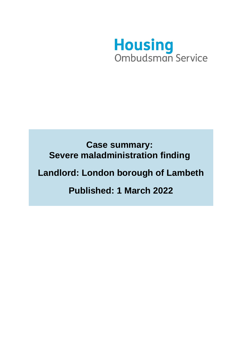

# **Case summary: Severe maladministration finding**

# **Landlord: London borough of Lambeth**

# **Published: 1 March 2022**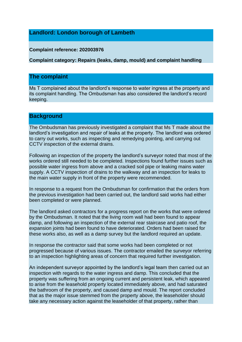## **Landlord: London borough of Lambeth**

#### **Complaint reference: 202003976**

**Complaint category: Repairs (leaks, damp, mould) and complaint handling**

## **The complaint**

Ms T complained about the landlord's response to water ingress at the property and its complaint handling. The Ombudsman has also considered the landlord's record keeping.

### **Background**

The Ombudsman has previously investigated a complaint that Ms T made about the landlord's investigation and repair of leaks at the property. The landlord was ordered to carry out works, such as inspecting and remedying pointing, and carrying out CCTV inspection of the external drains.

Following an inspection of the property the landlord's surveyor noted that most of the works ordered still needed to be completed. Inspections found further issues such as possible water ingress from above and a cracked soil pipe or leaking mains water supply. A CCTV inspection of drains to the walkway and an inspection for leaks to the main water supply in front of the property were recommended.

In response to a request from the Ombudsman for confirmation that the orders from the previous investigation had been carried out, the landlord said works had either been completed or were planned.

The landlord asked contractors for a progress report on the works that were ordered by the Ombudsman. It noted that the living room wall had been found to appear damp, and following an inspection of the external rear staircase and patio roof, the expansion joints had been found to have deteriorated. Orders had been raised for these works also, as well as a damp survey but the landlord required an update.

In response the contractor said that some works had been completed or not progressed because of various issues. The contractor emailed the surveyor referring to an inspection highlighting areas of concern that required further investigation.

An independent surveyor appointed by the landlord's legal team then carried out an inspection with regards to the water ingress and damp. This concluded that the property was suffering from an ongoing current and persistent leak, which appeared to arise from the leasehold property located immediately above, and had saturated the bathroom of the property, and caused damp and mould. The report concluded that as the major issue stemmed from the property above, the leaseholder should take any necessary action against the leaseholder of that property, rather than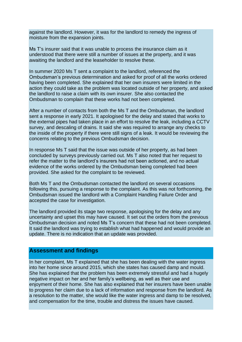against the landlord. However, it was for the landlord to remedy the ingress of moisture from the expansion joints.

Ms T's insurer said that it was unable to process the insurance claim as it understood that there were still a number of issues at the property, and it was awaiting the landlord and the leaseholder to resolve these.

In summer 2020 Ms T sent a complaint to the landlord, referenced the Ombudsman's previous determination and asked for proof of all the works ordered having been completed. She explained that her own insurers were limited in the action they could take as the problem was located outside of her property, and asked the landlord to raise a claim with its own insurer. She also contacted the Ombudsman to complain that these works had not been completed.

After a number of contacts from both the Ms T and the Ombudsman, the landlord sent a response in early 2021. It apologised for the delay and stated that works to the external pipes had taken place in an effort to resolve the leak, including a CCTV survey, and descaling of drains. It said she was required to arrange any checks to the inside of the property if there were still signs of a leak. It would be reviewing the concerns relating to the previous Ombudsman decision.

In response Ms T said that the issue was outside of her property, as had been concluded by surveys previously carried out. Ms T also noted that her request to refer the matter to the landlord's insurers had not been actioned, and no actual evidence of the works ordered by the Ombudsman being completed had been provided. She asked for the complaint to be reviewed.

Both Ms T and the Ombudsman contacted the landlord on several occasions following this, pursuing a response to the complaint. As this was not forthcoming, the Ombudsman issued the landlord with a Complaint Handling Failure Order and accepted the case for investigation.

The landlord provided its stage two response, apologising for the delay and any uncertainty and upset this may have caused. It set out the orders from the previous Ombudsman decision and noted Ms T's concern that these had not been completed. It said the landlord was trying to establish what had happened and would provide an update. There is no indication that an update was provided.

### **Assessment and findings**

In her complaint, Ms T explained that she has been dealing with the water ingress into her home since around 2015, which she states has caused damp and mould. She has explained that the problem has been extremely stressful and had a hugely negative impact on her and her family's wellbeing, as well as their use and enjoyment of their home. She has also explained that her insurers have been unable to progress her claim due to a lack of information and response from the landlord. As a resolution to the matter, she would like the water ingress and damp to be resolved, and compensation for the time, trouble and distress the issues have caused.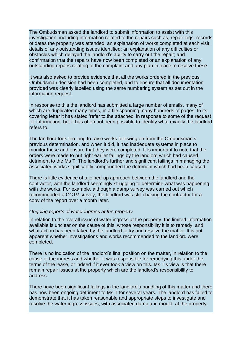The Ombudsman asked the landlord to submit information to assist with this investigation, including information related to the repairs such as, repair logs, records of dates the property was attended, an explanation of works completed at each visit, details of any outstanding issues identified; an explanation of any difficulties or obstacles which delayed the landlord's ability to carry out the repair; and confirmation that the repairs have now been completed or an explanation of any outstanding repairs relating to the complaint and any plan in place to resolve these.

It was also asked to provide evidence that all the works ordered in the previous Ombudsman decision had been completed, and to ensure that all documentation provided was clearly labelled using the same numbering system as set out in the information request.

In response to this the landlord has submitted a large number of emails, many of which are duplicated many times, in a file spanning many hundreds of pages. In its covering letter it has stated 'refer to the attached' in response to some of the request for information, but it has often not been possible to identify what exactly the landlord refers to.

The landlord took too long to raise works following on from the Ombudsman's previous determination, and when it did, it had inadequate systems in place to monitor these and ensure that they were completed. It is important to note that the orders were made to put right earlier failings by the landlord which had caused detriment to the Ms T. The landlord's further and significant failings in managing the associated works significantly compounded the detriment which had been caused.

There is little evidence of a joined-up approach between the landlord and the contractor, with the landlord seemingly struggling to determine what was happening with the works. For example, although a damp survey was carried out which recommended a CCTV survey, the landlord was still chasing the contractor for a copy of the report over a month later.

#### *Ongoing reports of water ingress at the property*

In relation to the overall issue of water ingress at the property, the limited information available is unclear on the cause of this, whose responsibility it is to remedy, and what action has been taken by the landlord to try and resolve the matter. It is not apparent whether investigations and works recommended to the landlord were completed.

There is no indication of the landlord's final position on the matter, in relation to the cause of the ingress and whether it was responsible for remedying this under the terms of the lease, or indeed if it ever took a view on this. Ms T's view is that there remain repair issues at the property which are the landlord's responsibility to address.

There have been significant failings in the landlord's handling of this matter and there has now been ongoing detriment to Ms T for several years. The landlord has failed to demonstrate that it has taken reasonable and appropriate steps to investigate and resolve the water ingress issues, with associated damp and mould, at the property.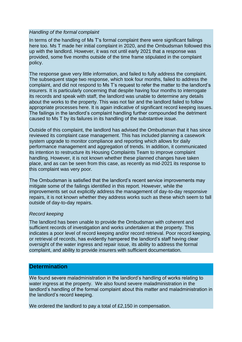#### *Handling of the formal complaint*

In terms of the handling of Ms T's formal complaint there were significant failings here too. Ms T made her initial complaint in 2020, and the Ombudsman followed this up with the landlord. However, it was not until early 2021 that a response was provided, some five months outside of the time frame stipulated in the complaint policy.

The response gave very little information, and failed to fully address the complaint. The subsequent stage two response, which took four months, failed to address the complaint, and did not respond to Ms T's request to refer the matter to the landlord's insurers. It is particularly concerning that despite having four months to interrogate its records and speak with staff, the landlord was unable to determine any details about the works to the property. This was not fair and the landlord failed to follow appropriate processes here. It is again indicative of significant record keeping issues. The failings in the landlord's complaint handling further compounded the detriment caused to Ms T by its failures in its handling of the substantive issue.

Outside of this complaint, the landlord has advised the Ombudsman that it has since reviewed its complaint case management. This has included planning a casework system upgrade to monitor compliance and reporting which allows for daily performance management and aggregation of trends. In addition, it communicated its intention to restructure its Housing Complaints Team to improve complaint handling. However, it is not known whether these planned changes have taken place, and as can be seen from this case, as recently as mid-2021 its response to this complaint was very poor.

The Ombudsman is satisfied that the landlord's recent service improvements may mitigate some of the failings identified in this report. However, while the improvements set out explicitly address the management of day-to-day responsive repairs, it is not known whether they address works such as these which seem to fall outside of day-to-day repairs.

### *Record keeping*

The landlord has been unable to provide the Ombudsman with coherent and sufficient records of investigation and works undertaken at the property. This indicates a poor level of record keeping and/or record retrieval. Poor record keeping, or retrieval of records, has evidently hampered the landlord's staff having clear oversight of the water ingress and repair issue, its ability to address the formal complaint, and ability to provide insurers with sufficient documentation.

## **Determination**

We found severe maladministration in the landlord's handling of works relating to water ingress at the property. We also found severe maladministration in the landlord's handling of the formal complaint about this matter and maladministration in the landlord's record keeping.

We ordered the landlord to pay a total of £2,150 in compensation.